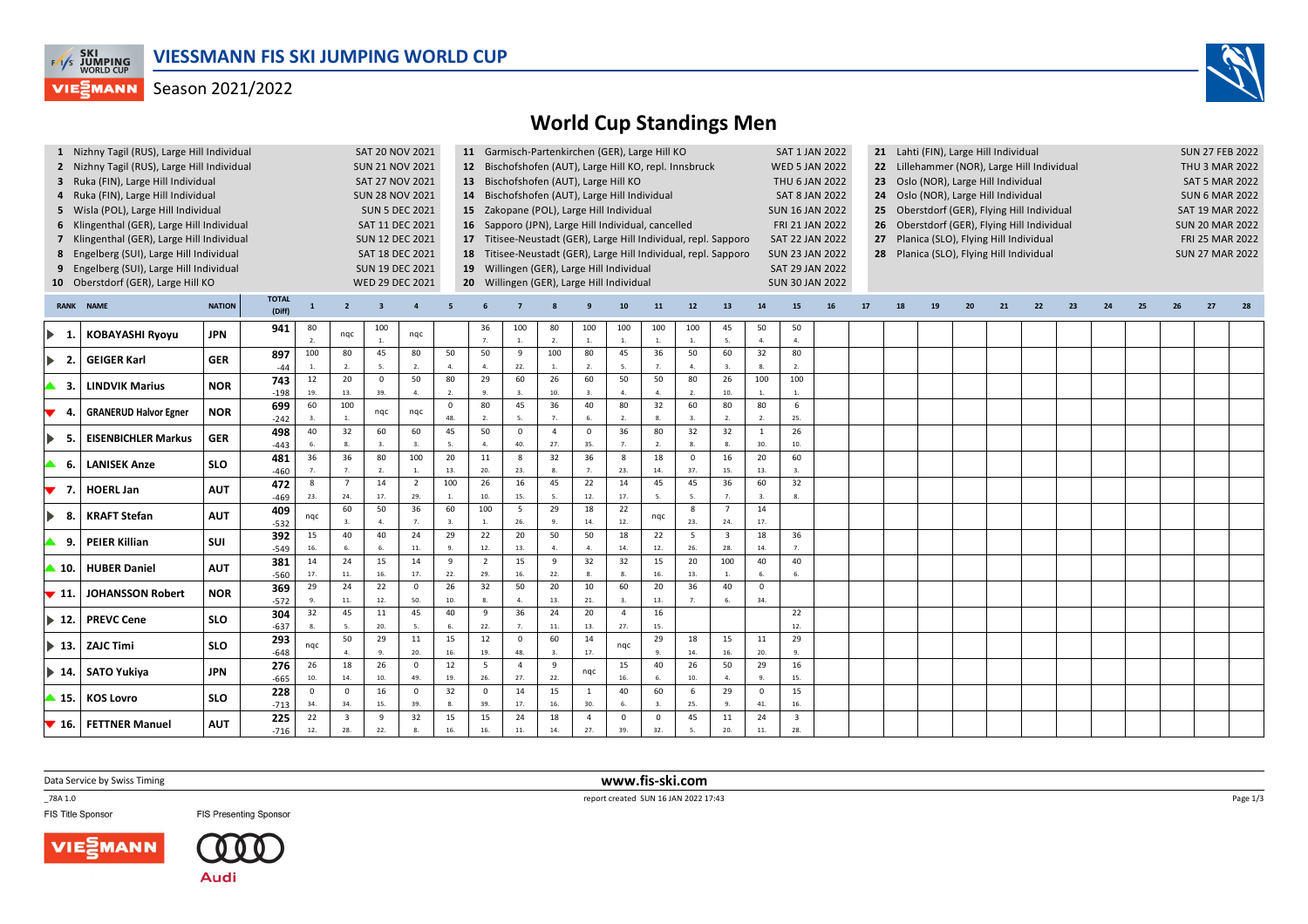

## Season 2021/2022



| 4<br>9                        | 1 Nizhny Tagil (RUS), Large Hill Individual<br>2 Nizhny Tagil (RUS), Large Hill Individual<br>3 Ruka (FIN), Large Hill Individual<br>Ruka (FIN), Large Hill Individual<br>5 Wisla (POL), Large Hill Individual<br>6 Klingenthal (GER), Large Hill Individual<br>7 Klingenthal (GER), Large Hill Individual<br>8 Engelberg (SUI), Large Hill Individual<br>Engelberg (SUI), Large Hill Individual<br>10 Oberstdorf (GER), Large Hill KO |               |                        | SAT 20 NOV 2021<br><b>SUN 21 NOV 2021</b><br><b>SAT 27 NOV 2021</b><br><b>SUN 28 NOV 2021</b><br><b>SUN 5 DEC 2021</b><br>SAT 11 DEC 2021<br><b>SUN 12 DEC 2021</b><br>SAT 18 DEC 2021<br><b>SUN 19 DEC 2021</b><br>WED 29 DEC 2021 |                                |                                | 11 Garmisch-Partenkirchen (GER), Large Hill KO<br>12 Bischofshofen (AUT), Large Hill KO, repl. Innsbruck<br>13 Bischofshofen (AUT), Large Hill KO<br>14 Bischofshofen (AUT), Large Hill Individual<br>15 Zakopane (POL), Large Hill Individual<br>16 Sapporo (JPN), Large Hill Individual, cancelled<br>17 Titisee-Neustadt (GER), Large Hill Individual, repl. Sapporo<br>18 Titisee-Neustadt (GER), Large Hill Individual, repl. Sapporo<br>19 Willingen (GER), Large Hill Individual<br>20 Willingen (GER), Large Hill Individual |                        |                        |                       |                        |                       |                       |                         |                     |                                | SAT 1 JAN 2022<br><b>WED 5 JAN 2022</b><br>THU 6 JAN 2022<br><b>SAT 8 JAN 2022</b><br><b>SUN 16 JAN 2022</b><br>FRI 21 JAN 2022<br><b>SAT 22 JAN 2022</b><br><b>SUN 23 JAN 2022</b><br>SAT 29 JAN 2022<br><b>SUN 30 JAN 2022</b> |                                | 21 Lahti (FIN), Large Hill Individual<br>22 Lillehammer (NOR), Large Hill Individual<br>23<br>24<br>25<br>26<br>27 <sub>2</sub><br>28 Planica (SLO), Flying Hill Individual | Oslo (NOR), Large Hill Individual<br>Oslo (NOR), Large Hill Individual<br>Oberstdorf (GER), Flying Hill Individual<br>Oberstdorf (GER), Flying Hill Individual<br>Planica (SLO), Flying Hill Individual |    | <b>SUN 27 FEB 2022</b><br><b>THU 3 MAR 2022</b><br><b>SAT 5 MAR 2022</b><br><b>SUN 6 MAR 2022</b><br><b>SAT 19 MAR 2022</b><br><b>SUN 20 MAR 2022</b><br><b>FRI 25 MAR 2022</b><br><b>SUN 27 MAR 2022</b> |    |    |    |    |    |    |  |      |  |
|-------------------------------|----------------------------------------------------------------------------------------------------------------------------------------------------------------------------------------------------------------------------------------------------------------------------------------------------------------------------------------------------------------------------------------------------------------------------------------|---------------|------------------------|-------------------------------------------------------------------------------------------------------------------------------------------------------------------------------------------------------------------------------------|--------------------------------|--------------------------------|--------------------------------------------------------------------------------------------------------------------------------------------------------------------------------------------------------------------------------------------------------------------------------------------------------------------------------------------------------------------------------------------------------------------------------------------------------------------------------------------------------------------------------------|------------------------|------------------------|-----------------------|------------------------|-----------------------|-----------------------|-------------------------|---------------------|--------------------------------|----------------------------------------------------------------------------------------------------------------------------------------------------------------------------------------------------------------------------------|--------------------------------|-----------------------------------------------------------------------------------------------------------------------------------------------------------------------------|---------------------------------------------------------------------------------------------------------------------------------------------------------------------------------------------------------|----|-----------------------------------------------------------------------------------------------------------------------------------------------------------------------------------------------------------|----|----|----|----|----|----|--|------|--|
| <b>RANK</b>                   | <b>NAME</b>                                                                                                                                                                                                                                                                                                                                                                                                                            | <b>NATION</b> | <b>TOTAL</b><br>(Diff) | $\mathbf{1}$                                                                                                                                                                                                                        | $\overline{2}$                 | $\overline{\mathbf{3}}$        | $\overline{a}$                                                                                                                                                                                                                                                                                                                                                                                                                                                                                                                       |                        |                        |                       |                        |                       | 10                    | 11                      | 12                  | 13                             | 14                                                                                                                                                                                                                               | 15                             | 16                                                                                                                                                                          | 17                                                                                                                                                                                                      | 18 | 19                                                                                                                                                                                                        | 20 | 21 | 22 | 23 | 24 | 25 |  | - 27 |  |
| -1                            | <b>KOBAYASHI Ryoyu</b>                                                                                                                                                                                                                                                                                                                                                                                                                 | <b>JPN</b>    | 941                    | 80<br>$\overline{2}$ .                                                                                                                                                                                                              | nqc                            | 100                            | nqc                                                                                                                                                                                                                                                                                                                                                                                                                                                                                                                                  |                        | 36<br>$\overline{7}$ . | 100<br>$\mathbf{1}$   | 80<br>2.               | 100<br>1.             | 100<br>$\mathbf{1}$   | 100<br>$\overline{1}$ . | 100                 | 45<br>5.                       | 50<br>$\overline{4}$ .                                                                                                                                                                                                           | 50<br>4.                       |                                                                                                                                                                             |                                                                                                                                                                                                         |    |                                                                                                                                                                                                           |    |    |    |    |    |    |  |      |  |
| 2.<br>$\blacktriangleright$   | <b>GEIGER Karl</b>                                                                                                                                                                                                                                                                                                                                                                                                                     | <b>GER</b>    | 897<br>$-44$           | 100                                                                                                                                                                                                                                 | 80<br>$\overline{\mathbf{z}}$  | 45<br>$\overline{\phantom{a}}$ | 80<br>$\overline{2}$ .                                                                                                                                                                                                                                                                                                                                                                                                                                                                                                               | 50<br>4.               | 50<br>$\mathbf{A}$     | 9<br>22.              | 100<br>$\overline{1}$  | 80<br>$\overline{2}$  | 45                    | 36<br>$\overline{7}$    | 50<br>$\mathbf{A}$  | 60                             | 32<br>8.                                                                                                                                                                                                                         | 80<br>2.                       |                                                                                                                                                                             |                                                                                                                                                                                                         |    |                                                                                                                                                                                                           |    |    |    |    |    |    |  |      |  |
| -3.                           | <b>LINDVIK Marius</b>                                                                                                                                                                                                                                                                                                                                                                                                                  | <b>NOR</b>    | 743<br>$-198$          | 12<br>19.                                                                                                                                                                                                                           | 20<br>13.                      | $\mathbf 0$<br>39.             | 50<br>$\overline{4}$                                                                                                                                                                                                                                                                                                                                                                                                                                                                                                                 | 80<br>2.               | 29<br>9.               | 60<br>3.              | 26<br>10.              | 60<br>$\overline{3}$  | 50<br>$\overline{4}$  | 50                      | 80                  | 26<br>10                       | 100<br>$\mathbf{1}$                                                                                                                                                                                                              | 100<br>$\mathbf{1}$            |                                                                                                                                                                             |                                                                                                                                                                                                         |    |                                                                                                                                                                                                           |    |    |    |    |    |    |  |      |  |
| ▼<br>-4                       | <b>GRANERUD Halvor Egner</b>                                                                                                                                                                                                                                                                                                                                                                                                           | <b>NOR</b>    | 699<br>$-242$          | 60<br>$\overline{3}$                                                                                                                                                                                                                | 100<br>$\overline{1}$          | nqc                            | nqc                                                                                                                                                                                                                                                                                                                                                                                                                                                                                                                                  | $\Omega$<br>48.        | 80<br>2.               | 45<br>5.              | 36<br>$\overline{7}$   | 40<br>6.              | 80<br>$\overline{2}$  | 32<br>8.                | 60<br>$\mathbf{3}$  | 80<br>$\overline{2}$           | 80<br>2.                                                                                                                                                                                                                         | 6<br>25.                       |                                                                                                                                                                             |                                                                                                                                                                                                         |    |                                                                                                                                                                                                           |    |    |    |    |    |    |  |      |  |
| -5.<br>$\blacktriangleright$  | <b>EISENBICHLER Markus</b>                                                                                                                                                                                                                                                                                                                                                                                                             | <b>GER</b>    | 498<br>$-443$          | 40                                                                                                                                                                                                                                  | 32<br>$\mathbf{R}$             | 60<br>$\overline{3}$           | 60<br>$\overline{3}$                                                                                                                                                                                                                                                                                                                                                                                                                                                                                                                 | 45<br>5.               | 50<br>4.               | $\mathbf 0$<br>40.    | $\overline{4}$<br>27.  | $\Omega$<br>35.       | 36<br>$\overline{7}$  | 80<br>$\overline{2}$    | 32                  | 32<br>8.                       | 1<br>30.                                                                                                                                                                                                                         | 26<br>10.                      |                                                                                                                                                                             |                                                                                                                                                                                                         |    |                                                                                                                                                                                                           |    |    |    |    |    |    |  |      |  |
| -6.                           | <b>LANISEK Anze</b>                                                                                                                                                                                                                                                                                                                                                                                                                    | <b>SLO</b>    | 481<br>$-460$          | 36                                                                                                                                                                                                                                  | 36                             | 80<br>$\overline{2}$           | 100<br>$\mathbf{1}$                                                                                                                                                                                                                                                                                                                                                                                                                                                                                                                  | 20<br>13.              | 11<br>20.              | 8<br>23.              | 32<br>8.               | 36                    | 8<br>23               | 18<br>14.               | $\mathsf 0$<br>37.  | 16<br>15.                      | 20<br>13.                                                                                                                                                                                                                        | 60<br>3.                       |                                                                                                                                                                             |                                                                                                                                                                                                         |    |                                                                                                                                                                                                           |    |    |    |    |    |    |  |      |  |
| ▼ 7.                          | <b>HOERL Jan</b>                                                                                                                                                                                                                                                                                                                                                                                                                       | <b>AUT</b>    | 472<br>$-469$          | 8<br>23.                                                                                                                                                                                                                            | $\overline{7}$<br>24.          | 14<br>17.                      | $\overline{2}$<br>29.                                                                                                                                                                                                                                                                                                                                                                                                                                                                                                                | 100<br>$1$ .           | 26<br>10.              | 16<br>15.             | 45<br>5.               | 22<br>12.             | 14<br>17              | 45<br>5.                | 45                  | 36<br>$\overline{7}$           | 60<br>3.                                                                                                                                                                                                                         | 32                             |                                                                                                                                                                             |                                                                                                                                                                                                         |    |                                                                                                                                                                                                           |    |    |    |    |    |    |  |      |  |
| $\blacktriangleright$<br>- 8. | <b>KRAFT Stefan</b>                                                                                                                                                                                                                                                                                                                                                                                                                    | <b>AUT</b>    | 409<br>$-532$          | nqc                                                                                                                                                                                                                                 | 60                             | 50<br>$\mathbf{A}$             | 36<br>7.                                                                                                                                                                                                                                                                                                                                                                                                                                                                                                                             | 60<br>3.               | 100<br>1.              | 5<br>26.              | 29<br>-9.              | 18<br>14.             | 22<br>12.             | nqc                     | $\mathbf{g}$<br>23. | 24.                            | 14<br>17.                                                                                                                                                                                                                        |                                |                                                                                                                                                                             |                                                                                                                                                                                                         |    |                                                                                                                                                                                                           |    |    |    |    |    |    |  |      |  |
| -9.                           | <b>PEIER Killian</b>                                                                                                                                                                                                                                                                                                                                                                                                                   | <b>SUI</b>    | 392<br>$-549$          | 15<br>16                                                                                                                                                                                                                            | 40                             | 40                             | 24<br>$11. \,$                                                                                                                                                                                                                                                                                                                                                                                                                                                                                                                       | 29                     | 22<br>12.              | 20<br>13.             | 50<br>$\mathbf{A}$     | 50<br>$\Delta$        | 18<br>14              | 22<br>12.               | 5<br>26.            | $\overline{\mathbf{3}}$<br>28. | 18<br>14.                                                                                                                                                                                                                        | 36                             |                                                                                                                                                                             |                                                                                                                                                                                                         |    |                                                                                                                                                                                                           |    |    |    |    |    |    |  |      |  |
| $\blacktriangle$ 10.          | <b>HUBER Daniel</b>                                                                                                                                                                                                                                                                                                                                                                                                                    | <b>AUT</b>    | 381<br>$-560$          | 14<br>17.                                                                                                                                                                                                                           | 24<br>11.                      | 15<br>16.                      | 14<br>17.                                                                                                                                                                                                                                                                                                                                                                                                                                                                                                                            | $\overline{9}$<br>22.  | $\overline{2}$<br>29.  | 15<br>16.             | $\overline{9}$<br>22.  | 32<br>8.              | 32                    | 15<br>16.               | 20<br>13.           | 100                            | 40<br>6.                                                                                                                                                                                                                         | 40                             |                                                                                                                                                                             |                                                                                                                                                                                                         |    |                                                                                                                                                                                                           |    |    |    |    |    |    |  |      |  |
| $\blacktriangledown$ 11.      | <b>JOHANSSON Robert</b>                                                                                                                                                                                                                                                                                                                                                                                                                | <b>NOR</b>    | 369<br>$-572$          | 29                                                                                                                                                                                                                                  | 24<br>11.                      | 22<br>12.                      | $\mathbf 0$<br>50.                                                                                                                                                                                                                                                                                                                                                                                                                                                                                                                   | 26<br>10.              | 32<br>$\mathbf{R}$     | 50<br>$\mathbf{A}$    | 20<br>13.              | 10<br>21.             | 60                    | 20<br>13.               | 36                  | 40                             | $^{\circ}$<br>34.                                                                                                                                                                                                                |                                |                                                                                                                                                                             |                                                                                                                                                                                                         |    |                                                                                                                                                                                                           |    |    |    |    |    |    |  |      |  |
| $\blacktriangleright$ 12.     | <b>PREVC Cene</b>                                                                                                                                                                                                                                                                                                                                                                                                                      | <b>SLO</b>    | 304<br>$-637$          | 32                                                                                                                                                                                                                                  | 45                             | 11<br>20.                      | 45<br>5.                                                                                                                                                                                                                                                                                                                                                                                                                                                                                                                             | 40<br>6.               | 9<br>22.               | 36<br>$\overline{7}$  | 24<br>11.              | 20<br>13.             | $\overline{4}$<br>27. | 16<br>15.               |                     |                                |                                                                                                                                                                                                                                  | 22<br>12.                      |                                                                                                                                                                             |                                                                                                                                                                                                         |    |                                                                                                                                                                                                           |    |    |    |    |    |    |  |      |  |
| $\blacktriangleright$ 13.     | <b>ZAJC Timi</b>                                                                                                                                                                                                                                                                                                                                                                                                                       | <b>SLO</b>    | 293<br>$-648$          | nqc                                                                                                                                                                                                                                 | 50                             | 29<br>$\mathbf{q}$             | 11<br>20.                                                                                                                                                                                                                                                                                                                                                                                                                                                                                                                            | 15<br>16.              | 12<br>19.              | $\mathbf 0$<br>48.    | 60<br>$\overline{3}$ . | 14<br>17              | ngc                   | 29<br>9.                | 18<br>14.           | 15<br>16.                      | 11<br>20.                                                                                                                                                                                                                        | 29<br>9.                       |                                                                                                                                                                             |                                                                                                                                                                                                         |    |                                                                                                                                                                                                           |    |    |    |    |    |    |  |      |  |
| $\blacktriangleright$ 14.     | SATO Yukiya                                                                                                                                                                                                                                                                                                                                                                                                                            | <b>JPN</b>    | 276<br>$-665$          | 26<br>10.                                                                                                                                                                                                                           | 18<br>14.                      | 26<br>10.                      | $\mathbf{0}$<br>49.                                                                                                                                                                                                                                                                                                                                                                                                                                                                                                                  | $\overline{12}$<br>19. | $\overline{5}$<br>26.  | $\overline{4}$<br>27. | $\overline{9}$<br>22.  | nqc                   | 15<br>16.             | 40<br>6.                | 26<br>10.           | 50<br>$\overline{a}$           | 29<br>9.                                                                                                                                                                                                                         | 16<br>15.                      |                                                                                                                                                                             |                                                                                                                                                                                                         |    |                                                                                                                                                                                                           |    |    |    |    |    |    |  |      |  |
| $\blacktriangle$ 15.          | <b>KOS Lovro</b>                                                                                                                                                                                                                                                                                                                                                                                                                       | <b>SLO</b>    | 228<br>$-713$          | $\overline{0}$<br>34                                                                                                                                                                                                                | $\mathbf 0$<br>34.             | 16<br>15.                      | $\ddot{\mathbf{0}}$<br>39.                                                                                                                                                                                                                                                                                                                                                                                                                                                                                                           | 32<br>8.               | $\mathbf 0$<br>39.     | 14<br>17.             | 15<br>16.              | <sup>1</sup><br>30    | 40                    | 60                      | 6<br>25.            | 29                             | $\mathbf 0$<br>41.                                                                                                                                                                                                               | 15<br>16.                      |                                                                                                                                                                             |                                                                                                                                                                                                         |    |                                                                                                                                                                                                           |    |    |    |    |    |    |  |      |  |
|                               | $\blacktriangledown$ 16. FETTNER Manuel                                                                                                                                                                                                                                                                                                                                                                                                | <b>AUT</b>    | 225<br>$-716$          | 22<br>12.                                                                                                                                                                                                                           | $\overline{\mathbf{3}}$<br>28. | 9<br>22.                       | 32<br>$\mathbf{R}$                                                                                                                                                                                                                                                                                                                                                                                                                                                                                                                   | 15<br>16.              | 15<br>16.              | 24<br>11.             | 18<br>14.              | $\overline{4}$<br>27. | $\overline{0}$<br>39. | $\Omega$<br>32.         | 45                  | 11<br>20.                      | 24<br>11.                                                                                                                                                                                                                        | $\overline{\mathbf{3}}$<br>28. |                                                                                                                                                                             |                                                                                                                                                                                                         |    |                                                                                                                                                                                                           |    |    |    |    |    |    |  |      |  |

Data Service by Swiss Timing

VIESMANN

\_78A 1.0

FIS Title Sponsor



**Audi** 

-0

 **www.fis-ski.com**report created SUN 16 JAN 2022 17:43

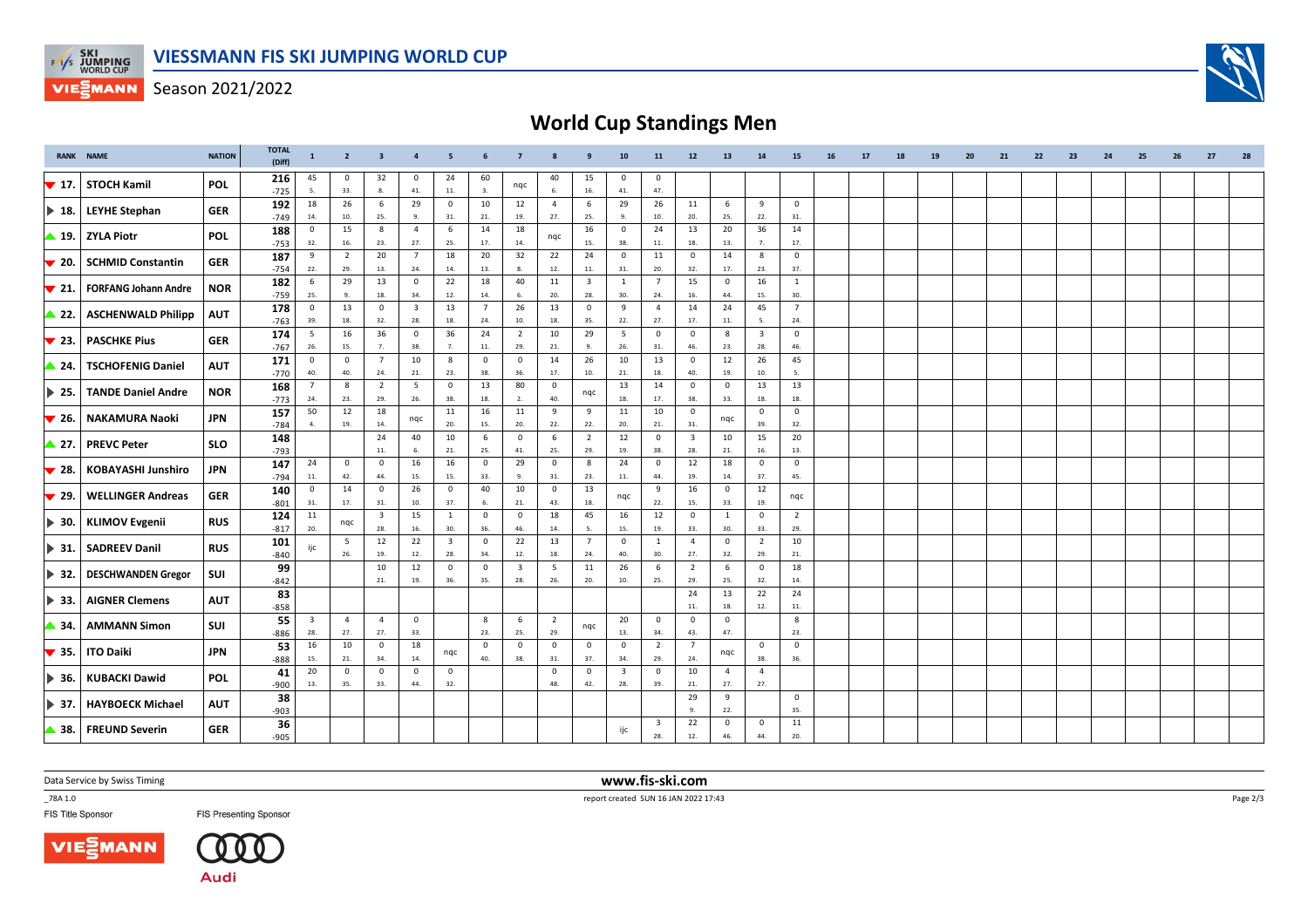

Season 2021/2022

## **World Cup Standings Men**

|                           | <b>RANK NAME</b>            | <b>NATION</b> | <b>TOTAL</b><br>(Diff) | $\mathbf{1}$            | $\overline{2}$  | $\overline{\mathbf{3}}$        |                         | 5                              | 6                  | $\overline{7}$          |                     |                                | 10                      | 11                      | 12                             | 13                 | 14                             | 15                 | 16 | 17 | 18 | 19 | 20 | 21 | 22 | 23 | 24 | 25 | 26 | 27 | 28 |
|---------------------------|-----------------------------|---------------|------------------------|-------------------------|-----------------|--------------------------------|-------------------------|--------------------------------|--------------------|-------------------------|---------------------|--------------------------------|-------------------------|-------------------------|--------------------------------|--------------------|--------------------------------|--------------------|----|----|----|----|----|----|----|----|----|----|----|----|----|
| $\blacktriangledown$ 17.  | <b>STOCH Kamil</b>          | <b>POL</b>    | 216<br>$-725$          | 45<br>- 5.              | $\Omega$<br>33. | 32<br>8.                       | $^{\circ}$<br>41.       | 24<br>$11.$                    | 60<br>3.           | nqc                     | 40<br>6.            | 15<br>16.                      | $^{\circ}$<br>41.       | $^{\circ}$<br>47.       |                                |                    |                                |                    |    |    |    |    |    |    |    |    |    |    |    |    |    |
| $\blacktriangleright$ 18. | <b>LEYHE Stephan</b>        | <b>GER</b>    | 192                    | 18                      | 26              | - 6                            | 29                      | $\mathbf{0}$                   | 10                 | 12                      | $\overline{4}$      | - 6                            | 29                      | 26                      | 11                             | 6                  | 9                              | $\mathbf 0$        |    |    |    |    |    |    |    |    |    |    |    |    |    |
|                           |                             |               | $-749$                 | 14.<br>$\overline{0}$   | 10.<br>15       | 25.<br>8                       | 9.<br>$\overline{4}$    | 31.<br>6                       | 21.<br>14          | 19.<br>18               | 27.                 | 25.<br>16                      | 9.<br>$\mathbf 0$       | 10.<br>24               | 20.<br>13                      | 25.<br>20          | 22.<br>36                      | 31.<br>14          |    |    |    |    |    |    |    |    |    |    |    |    |    |
|                           | $\triangle$ 19. ZYLA Piotr  | <b>POL</b>    | 188<br>$-753$          | 32.                     | 16.             | 23.                            | 27.                     | 25.                            | 17.                | 14.                     | nqc                 | 15.                            | 38.                     | 11.                     | 18.                            | 13.                | 7.                             | 17.                |    |    |    |    |    |    |    |    |    |    |    |    |    |
| $\blacktriangledown$ 20.  | <b>SCHMID Constantin</b>    | <b>GER</b>    | 187                    | 9                       | $\overline{2}$  | 20                             | $\overline{7}$          | 18                             | 20                 | 32                      | 22                  | 24                             | $\mathbf 0$             | 11                      | $\mathbf 0$                    | 14                 | 8                              | $\mathbf 0$        |    |    |    |    |    |    |    |    |    |    |    |    |    |
|                           |                             |               | $-754$                 | 22.                     | 29.             | 13.                            | 24.                     | 14.                            | 13.                | 8.                      | 12.                 | 11.                            | 31.                     | 20.<br>$\overline{7}$   | 32.<br>15                      | 17.                | 23.                            | 37.                |    |    |    |    |    |    |    |    |    |    |    |    |    |
| $\blacktriangledown$ 21.  | <b>FORFANG Johann Andre</b> | <b>NOR</b>    | 182<br>$-759$          | - 6<br>25.              | 29<br>-9.       | 13<br>18.                      | $\mathbf 0$<br>34.      | 22<br>12.                      | 18<br>14.          | 40<br>6.                | 11<br>20.           | $\overline{\mathbf{3}}$<br>28. | 1<br>30.                | 24.                     | 16.                            | $\mathbf 0$<br>44. | 16<br>15.                      | 1<br>30.           |    |    |    |    |    |    |    |    |    |    |    |    |    |
| ▲ 22.                     | <b>ASCHENWALD Philipp</b>   | AUT           | 178                    | $\overline{\mathbf{0}}$ | 13              | $\overline{\mathbf{0}}$        | $\overline{\mathbf{3}}$ | 13                             | $7\overline{ }$    | 26                      | 13                  | $\overline{\mathbf{0}}$        | 9                       | $\overline{4}$          | 14                             | 24                 | 45                             | $\overline{7}$     |    |    |    |    |    |    |    |    |    |    |    |    |    |
|                           |                             |               | $-763$                 | 39.                     | 18.             | 32.<br>36                      | 28.                     | 18.                            | 24.                | 10.                     | 18.                 | 35.                            | 22.                     | 27.                     | 17.                            | 11.                | 5.                             | 24.                |    |    |    |    |    |    |    |    |    |    |    |    |    |
| $\blacktriangledown$ 23.  | <b>PASCHKE Pius</b>         | <b>GER</b>    | 174<br>$-767$          | 5<br>26.                | 16<br>15.       | 7.                             | $\mathbf 0$<br>38.      | 36<br>7.                       | 24<br>11.          | $\overline{2}$<br>29.   | 10<br>21.           | 29<br>$\mathbf{q}$             | 5<br>26.                | $\mathbf 0$<br>31.      | 0<br>46.                       | 8<br>23.           | $\overline{\mathbf{3}}$<br>28. | $^{\circ}$<br>46.  |    |    |    |    |    |    |    |    |    |    |    |    |    |
| ▲ 24.                     | <b>TSCHOFENIG Daniel</b>    | <b>AUT</b>    | 171                    | $\mathbf 0$             | $^{\circ}$      | $\overline{7}$                 | 10                      | 8                              | $\mathbf 0$        | $\mathbf 0$             | 14                  | 26                             | 10                      | 13                      | $\mathbf 0$                    | 12                 | 26                             | 45                 |    |    |    |    |    |    |    |    |    |    |    |    |    |
|                           |                             |               | $-770$                 | 40.                     | 40.             | 24.                            | 21.                     | 23.                            | 38.                | 36.                     | 17.                 | 10.                            | 21.                     | 18.                     | 40.<br>$\mathbf 0$             | 19.                | 10.                            | 5.<br>13           |    |    |    |    |    |    |    |    |    |    |    |    |    |
| $\triangleright$ 25.      | <b>TANDE Daniel Andre</b>   | <b>NOR</b>    | 168<br>$-773$          | $\overline{7}$<br>24.   | 8<br>23.        | $\overline{2}$<br>29.          | 5<br>26.                | $\mathbf 0$<br>38.             | 13<br>18.          | 80<br>2.                | $\mathbf{0}$<br>40. | nqc                            | 13<br>18.               | 14<br>17.               | 38.                            | $\mathbf 0$<br>33. | 13<br>18.                      | 18.                |    |    |    |    |    |    |    |    |    |    |    |    |    |
| $\blacktriangledown$ 26.  | <b>NAKAMURA Naoki</b>       | <b>JPN</b>    | 157                    | 50                      | 12              | 18                             | nqc                     | 11                             | 16                 | 11                      | 9                   | 9                              | 11                      | 10                      | $\overline{\mathbf{0}}$        | nqc                | $\mathbf 0$                    | $\mathbf 0$        |    |    |    |    |    |    |    |    |    |    |    |    |    |
|                           |                             |               | $-784$                 | 4.                      | 19.             | 14.                            |                         | 20.                            | 15.                | 20.<br>$\mathbf 0$      | 22.<br>6            | 22.<br>$\overline{2}$          | 20.                     | 21.<br>$\mathsf 0$      | 31.<br>$\overline{\mathbf{3}}$ |                    | 39.                            | 32.                |    |    |    |    |    |    |    |    |    |    |    |    |    |
| ▲ 27.                     | <b>PREVC Peter</b>          | <b>SLO</b>    | 148<br>$-793$          |                         |                 | 24<br>11.                      | 40<br>6.                | 10<br>21.                      | 6<br>25.           | 41.                     | 25.                 | 29.                            | 12<br>19.               | 38.                     | 28.                            | 10<br>21.          | 15<br>16.                      | 20<br>13.          |    |    |    |    |    |    |    |    |    |    |    |    |    |
| $\blacktriangledown$ 28.  | <b>KOBAYASHI Junshiro</b>   | JPN           | 147                    | 24                      | $\mathbf 0$     | $\overline{\mathbf{0}}$        | 16                      | 16                             | $\mathbf 0$        | 29                      | $\mathbf{0}$        | 8                              | 24                      | $\mathbf 0$             | 12                             | 18                 | $\mathbf 0$                    | $\mathbf 0$        |    |    |    |    |    |    |    |    |    |    |    |    |    |
|                           |                             |               | $-794$                 | 11.                     | 42.             | 44.                            | 15.                     | 15.                            | 33.                | Q <sub>1</sub>          | 31.                 | 23.                            | 11.                     | 44.                     | 19.                            | 14.                | 37.                            | 45.                |    |    |    |    |    |    |    |    |    |    |    |    |    |
| $\blacktriangledown$ 29.  | <b>WELLINGER Andreas</b>    | <b>GER</b>    | 140<br>$-801$          | $\overline{0}$<br>31.   | 14<br>17.       | $\overline{\mathbf{0}}$<br>31. | 26<br>10.               | $\mathbf 0$<br>37.             | 40<br>6.           | 10<br>$21.$             | $\mathbf 0$<br>43.  | 13<br>18.                      | nqc                     | 9<br>22.                | 16<br>15.                      | $\mathbf 0$<br>33. | 12<br>19.                      | nqc                |    |    |    |    |    |    |    |    |    |    |    |    |    |
| I▶ 30. I                  | <b>KLIMOV Evgenii</b>       | <b>RUS</b>    | 124                    | 11                      |                 | $\overline{\mathbf{3}}$        | 15                      | $\mathbf{1}$                   | $\mathbf 0$        | $\overline{0}$          | 18                  | 45                             | 16                      | 12                      | $\overline{0}$                 | 1                  | $\mathbf{0}$                   | $\overline{2}$     |    |    |    |    |    |    |    |    |    |    |    |    |    |
|                           |                             |               | $-817$                 | 20.                     | nqc             | 28.                            | 16.                     | 30.                            | 36.                | 46.                     | 14.                 | -5.                            | 15.                     | 19.                     | 33.                            | 30.                | 33.                            | 29.                |    |    |    |    |    |    |    |    |    |    |    |    |    |
| $\blacktriangleright$ 31. | <b>SADREEV Danil</b>        | <b>RUS</b>    | 101<br>$-840$          | ijc                     | 5<br>26.        | 12<br>19.                      | 22<br>12.               | $\overline{\mathbf{3}}$<br>28. | $\mathbf 0$<br>34. | 22<br>12.               | 13<br>18.           | $\overline{7}$<br>24.          | $\mathbf 0$<br>40.      | 1<br>30.                | $\overline{4}$<br>27.          | $\mathsf 0$<br>32. | $\overline{2}$<br>29.          | 10<br>21.          |    |    |    |    |    |    |    |    |    |    |    |    |    |
| $\blacktriangleright$ 32. | <b>DESCHWANDEN Gregor</b>   | SUI           | 99                     |                         |                 | 10                             | 12                      | $\mathbf 0$                    | $\mathbf 0$        | $\overline{\mathbf{3}}$ | 5                   | 11                             | 26                      | 6                       | $\overline{2}$                 | 6                  | $\mathbf 0$                    | 18                 |    |    |    |    |    |    |    |    |    |    |    |    |    |
|                           |                             |               | $-842$                 |                         |                 | 21.                            | 19.                     | 36.                            | 35.                | 28.                     | 26.                 | 20.                            | 10.                     | 25.                     | 29.                            | 25.                | 32.                            | 14.                |    |    |    |    |    |    |    |    |    |    |    |    |    |
| $\blacktriangleright$ 33. | <b>AIGNER Clemens</b>       | <b>AUT</b>    | 83<br>$-858$           |                         |                 |                                |                         |                                |                    |                         |                     |                                |                         |                         | 24<br>11.                      | 13<br>18.          | 22<br>12.                      | 24<br>$11. \,$     |    |    |    |    |    |    |    |    |    |    |    |    |    |
| ▲ 34.                     | <b>AMMANN Simon</b>         | <b>SUI</b>    | 55                     | $\overline{\mathbf{3}}$ | $\overline{4}$  | $\overline{4}$                 | $\mathbf 0$             |                                | 8                  | 6                       | $\overline{2}$      |                                | 20                      | $\mathbf 0$             | $\overline{\mathbf{0}}$        | $\mathbf 0$        |                                | 8                  |    |    |    |    |    |    |    |    |    |    |    |    |    |
|                           |                             |               | -886                   | 28.                     | 27.             | 27.                            | 33.                     |                                | 23.                | 25.                     | 29.                 | nqc                            | 13.                     | 34.                     | 43.                            | 47.                |                                | 23.                |    |    |    |    |    |    |    |    |    |    |    |    |    |
| $\blacktriangledown$ 35.  | <b>ITO Daiki</b>            | JPN           | 53<br>$-888$           | 16<br>15.               | 10<br>21.       | $\overline{\mathbf{0}}$<br>34. | 18<br>14.               | nqc                            | $\mathbf 0$<br>40. | $\mathbf 0$<br>38.      | $\mathbf 0$<br>31.  | $\overline{\mathbf{0}}$<br>37. | $\mathbf 0$<br>34.      | $\overline{2}$<br>29.   | $\overline{7}$<br>24.          | nqc                | $\mathbf 0$<br>38.             | $\mathbf 0$<br>36. |    |    |    |    |    |    |    |    |    |    |    |    |    |
|                           | <b>KUBACKI Dawid</b>        | <b>POL</b>    | 41                     | 20                      | $\mathbf{0}$    | $\overline{\mathbf{0}}$        | $\mathbf 0$             | $\mathbf 0$                    |                    |                         | $\mathbf 0$         | $\mathbf 0$                    | $\overline{\mathbf{3}}$ | $\mathbf 0$             | 10                             | $\overline{4}$     | $\overline{4}$                 |                    |    |    |    |    |    |    |    |    |    |    |    |    |    |
| $\blacktriangleright$ 36. |                             |               | $-900$                 | 13.                     | 35.             | 33.                            | 44.                     | 32.                            |                    |                         | 48.                 | 42.                            | 28.                     | 39.                     | 21.                            | 27.                | 27.                            |                    |    |    |    |    |    |    |    |    |    |    |    |    |    |
| $\blacktriangleright$ 37. | <b>HAYBOECK Michael</b>     | <b>AUT</b>    | 38<br>$-903$           |                         |                 |                                |                         |                                |                    |                         |                     |                                |                         |                         | 29<br>$\mathbf{q}$             | 9<br>22.           |                                | $\Omega$<br>35.    |    |    |    |    |    |    |    |    |    |    |    |    |    |
|                           |                             |               | 36                     |                         |                 |                                |                         |                                |                    |                         |                     |                                |                         | $\overline{\mathbf{3}}$ | 22                             | $\mathsf 0$        | $\mathbf 0$                    | 11                 |    |    |    |    |    |    |    |    |    |    |    |    |    |
|                           | 38.   FREUND Severin        | <b>GER</b>    | $-905$                 |                         |                 |                                |                         |                                |                    |                         |                     |                                | ijc                     | 28.                     | 12.                            | 46.                | 44.                            | 20.                |    |    |    |    |    |    |    |    |    |    |    |    |    |

Data Service by Swiss Timing

\_78A 1.0

FIS Title Sponsor





 **www.fis-ski.com**report created SUN 16 JAN 2022 17:43

Page 2/3